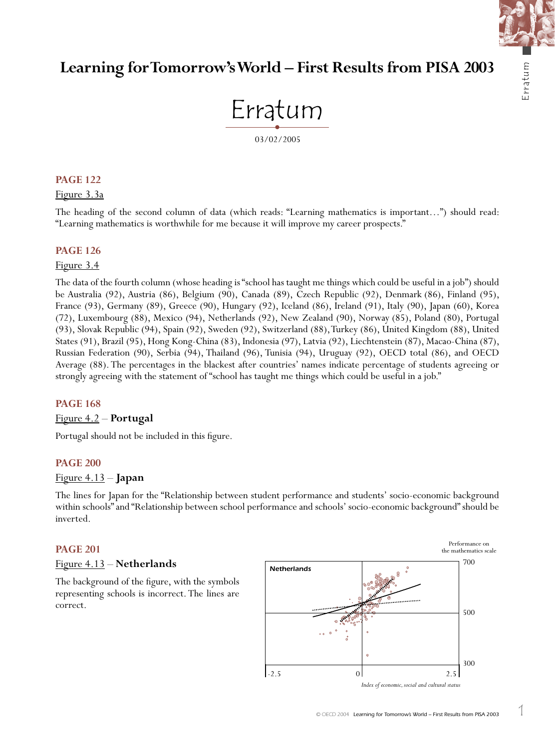

# **Learning for Tomorrow's World – First Results from PISA 2003**



# **PAGE 122**

## Figure 3.3a

The heading of the second column of data (which reads: "Learning mathematics is important…") should read: "Learning mathematics is worthwhile for me because it will improve my career prospects."

## **PAGE 126**

#### Figure 3.4

The data of the fourth column (whose heading is "school has taught me things which could be useful in a job") should be Australia (92), Austria (86), Belgium (90), Canada (89), Czech Republic (92), Denmark (86), Finland (95), France (93), Germany (89), Greece (90), Hungary (92), Iceland (86), Ireland (91), Italy (90), Japan (60), Korea (72), Luxembourg (88), Mexico (94), Netherlands (92), New Zealand (90), Norway (85), Poland (80), Portugal (93), Slovak Republic (94), Spain (92), Sweden (92), Switzerland (88), Turkey (86), United Kingdom (88), United States (91), Brazil (95), Hong Kong-China (83), Indonesia (97), Latvia (92), Liechtenstein (87), Macao-China (87), Russian Federation (90), Serbia (94), Thailand (96), Tunisia (94), Uruguay (92), OECD total (86), and OECD Average (88). The percentages in the blackest after countries' names indicate percentage of students agreeing or strongly agreeing with the statement of "school has taught me things which could be useful in a job."

#### **PAGE 168**

#### Figure 4.2 – **Portugal**

Portugal should not be included in this figure.

#### **PAGE 200**

# Figure 4.13 – **Japan**

The lines for Japan for the "Relationship between student performance and students' socio-economic background within schools" and "Relationship between school performance and schools' socio-economic background" should be inverted.

#### **PAGE 201**

#### Figure 4.13 – **Netherlands**

The background of the figure, with the symbols representing schools is incorrect. The lines are correct.

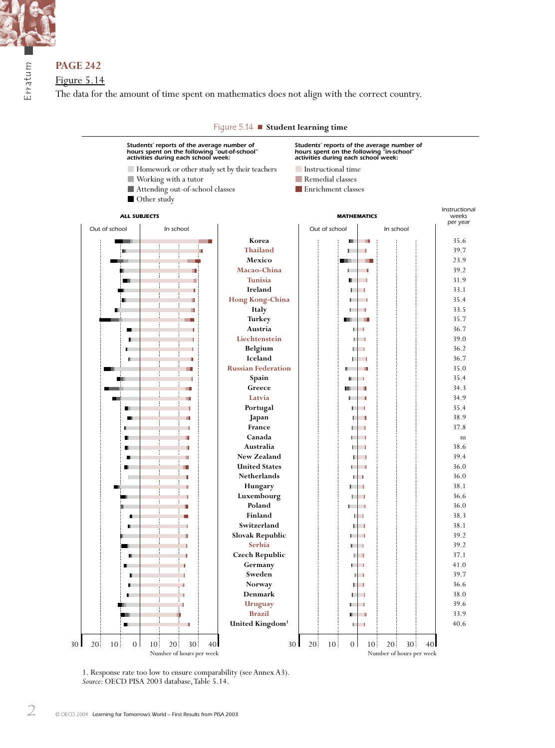

Erratum

# **PAGE 242**

Figure 5.14

The data for the amount of time spent on mathematics does not align with the correct country.



1. Response rate too low to ensure comparability (see Annex A3). *Source*: OECD PISA 2003 database, Table 5.14.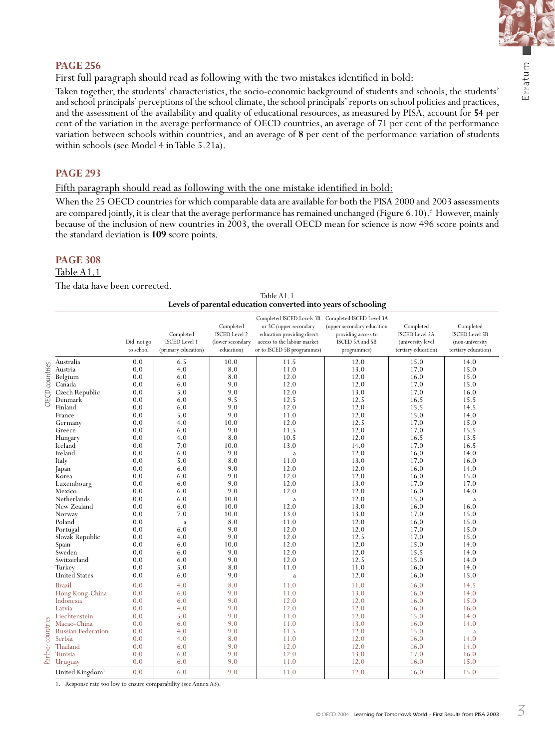

# **PAGE 256**

First full paragraph should read as following with the two mistakes identified in bold:

Taken together, the students' characteristics, the socio-economic background of students and schools, the students' and school principals' perceptions of the school climate, the school principals' reports on school policies and practices, and the assessment of the availability and quality of educational resources, as measured by PISA, account for **54** per cent of the variation in the average performance of OECD countries, an average of 71 per cent of the performance variation between schools within countries, and an average of **8** per cent of the performance variation of students within schools (see Model 4 in Table 5.21a).

# **PAGE 293**

Fifth paragraph should read as following with the one mistake identified in bold:

When the 25 OECD countries for which comparable data are available for both the PISA 2000 and 2003 assessments are compared jointly, it is clear that the average performance has remained unchanged (Figure 6.10).  $^{\circ}$  However, mainly because of the inclusion of new countries in 2003, the overall OECD mean for science is now 496 score points and the standard deviation is **109** score points.

# **PAGE 308**

#### Table A1.1

The data have been corrected.

| Table A1.1                                                     |
|----------------------------------------------------------------|
| Levels of parental education converted into years of schooling |

|                   |                             |            |                      |                                   | Completed ISCED Levels 3B Completed ISCED Level 3A   |                                        |                                    |                                    |
|-------------------|-----------------------------|------------|----------------------|-----------------------------------|------------------------------------------------------|----------------------------------------|------------------------------------|------------------------------------|
|                   |                             |            | Completed            | Completed<br><b>ISCED</b> Level 2 | or 3C (upper secondary<br>education providing direct | (upper secondary education             | Completed<br><b>ISCED</b> Level 5A | Completed<br><b>ISCED Level 5B</b> |
|                   |                             | Did not go | <b>ISCED</b> Level 1 | (lower secondary                  | access to the labour market                          | providing access to<br>ISCED 5A and 5B | (university level                  | (non-university                    |
|                   |                             | to school  | (primary education)  | education)                        | or to ISCED 5B programmes)                           | programmes)                            | tertiary education)                | tertiary education)                |
|                   |                             |            |                      |                                   |                                                      |                                        |                                    |                                    |
|                   | Australia                   | 0.0        | 6.5                  | 10.0                              | 11.5                                                 | 12.0                                   | 15.0                               | 14.0                               |
| OECD countries    | Austria                     | 0.0        | 4.0                  | 8.0                               | 11.0                                                 | 13.0                                   | 17.0                               | 15.0                               |
|                   | Belgium                     | 0.0        | 6.0                  | 8.0                               | 12.0                                                 | 12.0                                   | 16.0                               | 15.0                               |
|                   | Canada                      | 0.0        | 6.0                  | 9.0                               | 12.0                                                 | 12.0                                   | 17.0                               | 15.0                               |
|                   | Czech Republic              | 0.0        | 5.0                  | 9.0                               | 12.0                                                 | 13.0                                   | 17.0                               | 16.0                               |
|                   | Denmark                     | 0.0        | 6.0                  | 9.5                               | 12.5                                                 | 12.5                                   | 16.5                               | 15.5                               |
|                   | Finland                     | 0.0        | 6.0                  | 9.0                               | 12.0                                                 | 12.0                                   | 15.5                               | 14.5                               |
|                   | France                      | 0.0        | 5.0                  | 9.0                               | 11.0                                                 | 12.0                                   | 15.0                               | 14.0                               |
|                   | Germany                     | 0.0        | 4.0                  | 10.0                              | 12.0                                                 | 12.5                                   | 17.0                               | 15.0                               |
|                   | Greece                      | 0.0        | 6.0                  | 9.0                               | 11.5                                                 | 12.0                                   | 17.0                               | 15.5                               |
|                   | Hungary                     | 0.0        | 4.0                  | 8.0                               | 10.5                                                 | 12.0                                   | 16.5                               | 13.5                               |
|                   | Iceland                     | 0.0        | 7.0                  | 10.0                              | 13.0                                                 | 14.0                                   | 17.0                               | 16.5                               |
|                   | Ireland                     | 0.0        | 6.0                  | 9.0                               | $\mathbf a$                                          | 12.0                                   | 16.0                               | 14.0                               |
|                   | Italy                       | 0.0        | 5.0                  | 8.0                               | 11.0                                                 | 13.0                                   | 17.0                               | 16.0                               |
|                   | Japan                       | 0.0        | 6.0                  | 9.0                               | 12.0                                                 | 12.0                                   | 16.0                               | 14.0                               |
|                   | Korea                       | 0.0        | 6.0                  | 9.0                               | 12.0                                                 | 12.0                                   | 16.0                               | 15.0                               |
|                   | Luxembourg                  | 0.0        | 6.0                  | 9.0                               | 12.0                                                 | 13.0                                   | 17.0                               | 17.0                               |
|                   | Mexico                      | 0.0        | 6.0                  | 9.0                               | 12.0                                                 | 12.0                                   | 16.0                               | 14.0                               |
|                   | Netherlands                 | 0.0        | 6.0                  | 10.0                              | a                                                    | 12.0                                   | 15.0                               | a                                  |
|                   | New Zealand                 | 0.0        | 6.0                  | 10.0                              | 12.0                                                 | 13.0                                   | 16.0                               | 16.0                               |
|                   | Norway                      | 0.0        | 7.0                  | 10.0                              | 13.0                                                 | 13.0                                   | 17.0                               | 15.0                               |
|                   | Poland                      | 0.0        | a                    | 8.0                               | 11.0                                                 | 12.0                                   | 16.0                               | 15.0                               |
|                   | Portugal                    | 0.0        | 6.0                  | 9.0                               | 12.0                                                 | 12.0                                   | 17.0                               | 15.0                               |
|                   | Slovak Republic             | 0.0        | 4.0                  | 9.0                               | 12.0                                                 | 12.5                                   | 17.0                               | 15.0                               |
|                   | Spain                       | 0.0        | 6.0                  | 10.0                              | 12.0                                                 | 12.0                                   | 15.0                               | 14.0                               |
|                   | Sweden                      | 0.0        | 6.0                  | 9.0                               | 12.0                                                 | 12.0                                   | 15.5                               | 14.0                               |
|                   | Switzerland                 | 0.0        | 6.0                  | 9.0                               | 12.0                                                 | 12.5                                   | 15.0                               | 14.0                               |
|                   | Turkey                      | 0.0        | 5.0                  | 8.0                               | 11.0                                                 | 11.0                                   | 16.0                               | 14.0                               |
|                   | <b>United States</b>        | 0.0        | 6.0                  | 9.0                               | a                                                    | 12.0                                   | 16.0                               | 15.0                               |
|                   | <b>Brazil</b>               | 0.0        | 4.0                  | 8.0                               | 11.0                                                 | 11.0                                   | 16.0                               | 14.5                               |
|                   | Hong Kong-China             | 0.0        | 6.0                  | 9.0                               | 11.0                                                 | 13.0                                   | 16.0                               | 14.0                               |
|                   | Indonesia                   | 0.0        | 6.0                  | 9.0                               | 12.0                                                 | 12.0                                   | 16.0                               | 15.0                               |
|                   | Latvia                      | 0.0        | 4.0                  | 9.0                               | 12.0                                                 | 12.0                                   | 16.0                               | 16.0                               |
|                   | Liechtenstein               | 0.0        | 5.0                  | 9.0                               | 11.0                                                 | 12.0                                   | 15.0                               | 14.0                               |
|                   | Macao-China                 | 0.0        | 6.0                  | 9.0                               | 11.0                                                 | 13.0                                   | 16.0                               | 14.0                               |
|                   | <b>Russian Federation</b>   | 0.0        | 4.0                  | 9.0                               | 11.5                                                 | 12.0                                   | 15.0                               | a                                  |
|                   | Serbia                      | 0.0        | 4.0                  | 8.0                               | 11.0                                                 | 12.0                                   | 16.0                               | 14.0                               |
|                   | Thailand                    | 0.0        | 6.0                  | 9.0                               | 12.0                                                 | 12.0                                   | 16.0                               | 14.0                               |
| Partner countries | Tunisia                     | 0.0        | 6.0                  | 9.0                               | 12.0                                                 | 13.0                                   | 17.0                               | 16.0                               |
|                   | Uruguay                     | 0.0        | 6.0                  | 9.0                               | 11.0                                                 | 12.0                                   | 16.0                               | 15.0                               |
|                   | United Kingdom <sup>1</sup> | 0.0        | 6.0                  | 9.0                               | 11.0                                                 | 12.0                                   | 16.0                               | 15.0                               |

1. Response rate too low to ensure comparability (see Annex A3).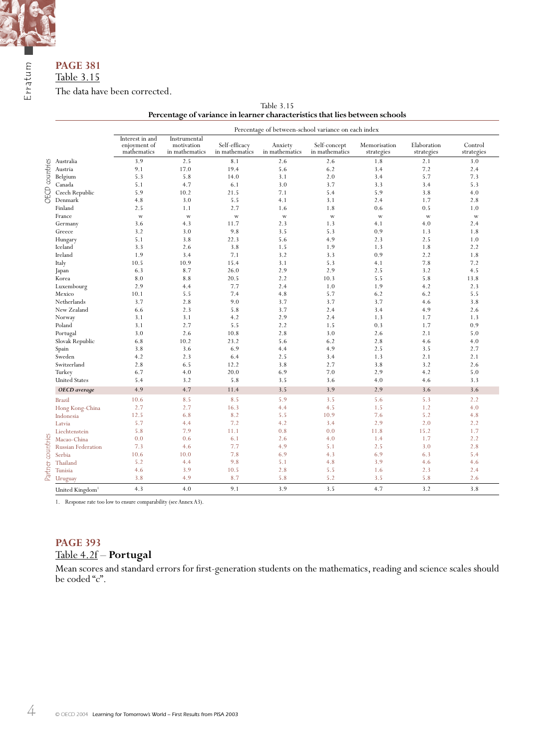

# **PAGE 381** Table 3.15

The data have been corrected.

| Table 3.15                                                                  |  |
|-----------------------------------------------------------------------------|--|
| Percentage of variance in learner characteristics that lies between schools |  |

|                   |                             |                                                |                                              |                                 |                           | Percentage of between-school variance on each index |                            |                           |                       |
|-------------------|-----------------------------|------------------------------------------------|----------------------------------------------|---------------------------------|---------------------------|-----------------------------------------------------|----------------------------|---------------------------|-----------------------|
|                   |                             | Interest in and<br>enjoyment of<br>mathematics | Instrumental<br>motivation<br>in mathematics | Self-efficacy<br>in mathematics | Anxiety<br>in mathematics | Self-concept<br>in mathematics                      | Memorisation<br>strategies | Elaboration<br>strategies | Control<br>strategies |
|                   | Australia                   | 3.9                                            | 2.5                                          | 8.1                             | 2.6                       | 2.6                                                 | 1.8                        | 2.1                       | 3.0                   |
| OECD countries    | Austria                     | 9.1                                            | 17.0                                         | 19.4                            | 5.6                       | 6.2                                                 | 3.4                        | 7.2                       | 2.4                   |
|                   | Belgium                     | 5.3                                            | 5.8                                          | 14.0                            | 3.1                       | 2.0                                                 | 3.4                        | 5.7                       | 7.3                   |
|                   | Canada                      | 5.1                                            | 4.7                                          | 6.1                             | 3.0                       | 3.7                                                 | 3.3                        | 3.4                       | 5.3                   |
|                   | Czech Republic              | 5.9                                            | 10.2                                         | 21.5                            | 7.1                       | 5.4                                                 | 5.9                        | 3.8                       | 4.0                   |
|                   | Denmark                     | 4.8                                            | 3.0                                          | 5.5                             | 4.1                       | 3.1                                                 | 2.4                        | 1.7                       | 2.8                   |
|                   | Finland                     | 2.5                                            | 1.1                                          | 2.7                             | 1.6                       | 1.8                                                 | 0.6                        | 0.5                       | 1.0                   |
|                   | France                      | $\ensuremath{\text{W}}$                        | W                                            | $\ensuremath{\text{W}}$         | W                         | $\ensuremath{\text{W}}$                             | $\mathbf{W}$               | W                         | W                     |
|                   | Germany                     | 3.6                                            | 4.3                                          | 11.7                            | 2.3                       | 1.3                                                 | 4.1                        | 4.0                       | 2.4                   |
|                   | Greece                      | 3.2                                            | 3.0                                          | 9.8                             | 3.5                       | 5.3                                                 | 0.9                        | 1.3                       | 1.8                   |
|                   | Hungary                     | 5.1                                            | 3.8                                          | 22.3                            | 5.6                       | 4.9                                                 | 2.3                        | 2.5                       | 1.0                   |
|                   | Iceland                     | 3.3                                            | 2.6                                          | 3.8                             | 1.5                       | 1.9                                                 | 1.3                        | 1.8                       | 2.2                   |
|                   | Ireland                     | 1.9                                            | 3.4                                          | 7.1                             | 3.2                       | 3.3                                                 | 0.9                        | 2.2                       | 1.8                   |
|                   | Italy                       | 10.5                                           | 10.9                                         | 15.4                            | 3.1                       | 5.3                                                 | 4.1                        | 7.8                       | 7.2                   |
|                   | Japan                       | 6.3                                            | 8.7                                          | 26.0                            | 2.9                       | 2.9                                                 | 2.5                        | 3.2                       | 4.5                   |
|                   | Korea                       | 8.0                                            | 8.8                                          | 20.5                            | 2.2                       | 10.3                                                | 5.5                        | 5.8                       | 13.8                  |
|                   | Luxembourg                  | 2.9                                            | 4.4                                          | 7.7                             | 2.4                       | 1.0                                                 | 1.9                        | 4.2                       | 2.3                   |
|                   | Mexico                      | 10.1                                           | 5.5                                          | 7.4                             | 4.8                       | 5.7                                                 | 6.2                        | 6.2                       | 5.5                   |
|                   | Netherlands                 | 3.7                                            | 2.8                                          | 9.0                             | 3.7                       | 3.7                                                 | 3.7                        | 4.6                       | 3.8                   |
|                   | New Zealand                 | 6.6                                            | 2.3                                          | 5.8                             | 3.7                       | 2.4                                                 | 3.4                        | 4.9                       | 2.6                   |
|                   | Norway                      | 3.1                                            | 3.1                                          | 4.2                             | 2.9                       | 2.4                                                 | 1.3                        | 1.7                       | 1.3                   |
|                   | Poland                      | 3.1                                            | 2.7                                          | 5.5                             | 2.2                       | 1.5                                                 | 0.3                        | 1.7                       | 0.9                   |
|                   | Portugal                    | 3.0                                            | 2.6                                          | 10.8                            | 2.8                       | 3.0                                                 | 2.6                        | 2.1                       | 5.0                   |
|                   | Slovak Republic             | 6.8                                            | 10.2                                         | 23.2                            | 5.6                       | 6.2                                                 | 2.8                        | 4.6                       | 4.0                   |
|                   | Spain                       | 3.8                                            | 3.6                                          | 6.9                             | 4.4                       | 4.9                                                 | 2.5                        | 3.5                       | 2.7                   |
|                   | Sweden                      | 4.2                                            | 2.3                                          | 6.4                             | 2.5                       | 3.4                                                 | 1.3                        | 2.1                       | 2.1                   |
|                   | Switzerland                 | 2.8                                            | 6.5                                          | 12.2                            | 3.8                       | 2.7                                                 | 3.8                        | 3.2                       | 2.6                   |
|                   | Turkey                      | 6.7                                            | 4.0                                          | 20.0                            | 6.9                       | 7.0                                                 | 2.9                        | 4.2                       | 5.0                   |
|                   | <b>United States</b>        | 5.4                                            | 3.2                                          | 5.8                             | 3.5                       | 3.6                                                 | 4.0                        | 4.6                       | 3.3                   |
|                   | OECD average                | 4.9                                            | 4.7                                          | 11.4                            | 3.5                       | 3.9                                                 | 2.9                        | 3.6                       | 3.6                   |
|                   | <b>Brazil</b>               | 10.6                                           | 8.5                                          | 8.5                             | 5.9                       | 3.5                                                 | 5.6                        | 5.3                       | 2.2                   |
|                   | Hong Kong-China             | 2.7                                            | 2.7                                          | 16.3                            | 4.4                       | 4.5                                                 | 1.5                        | 1.2                       | 4.0                   |
|                   | Indonesia                   | 12.5                                           | 6.8                                          | 8.2                             | 5.5                       | 10.9                                                | 7.6                        | 5.2                       | 4.8                   |
|                   | Latvia                      | 5.7                                            | 4.4                                          | 7.2                             | 4.2                       | 3.4                                                 | 2.9                        | 2.0                       | 2.2                   |
|                   | Liechtenstein               | 5.8                                            | 7.9                                          | 11.1                            | 0.8                       | 0.0                                                 | 11.8                       | 15.2                      | 1.7                   |
|                   | Macao-China                 | 0.0                                            | 0.6                                          | 6.1                             | 2.6                       | 4.0                                                 | 1.4                        | 1.7                       | 2.2                   |
| Partner countries | <b>Russian Federation</b>   | 7.3                                            | 4.6                                          | 7.7                             | 4.9                       | 5.1                                                 | 2.5                        | 3.0                       | 2.8                   |
|                   | Serbia                      | 10.6                                           | 10.0                                         | 7.8                             | 6.9                       | 4.3                                                 | 6.9                        | 6.3                       | 5.4                   |
|                   | Thailand                    | 5.2                                            | 4.4                                          | 9.8                             | 5.1                       | 4.8                                                 | 3.9                        | 4.6                       | 4.6                   |
|                   | Tunisia                     | 4.6                                            | 3.9                                          | 10.5                            | 2.8                       | 5.5                                                 | 1.6                        | 2.3                       | 2.4                   |
|                   | Uruguay                     | 3.8                                            | 4.9                                          | 8.7                             | 5.8                       | 5.2                                                 | 3.5                        | 5.8                       | 2.6                   |
|                   | United Kingdom <sup>1</sup> | 4.3                                            | 4.0                                          | 9.1                             | 3.9                       | 3.5                                                 | 4.7                        | 3.2                       | 3.8                   |

1. Response rate too low to ensure comparability (see Annex A3).

# **PAGE 393** Table 4.2f – **Portugal**

Mean scores and standard errors for first-generation students on the mathematics, reading and science scales should be coded "c".